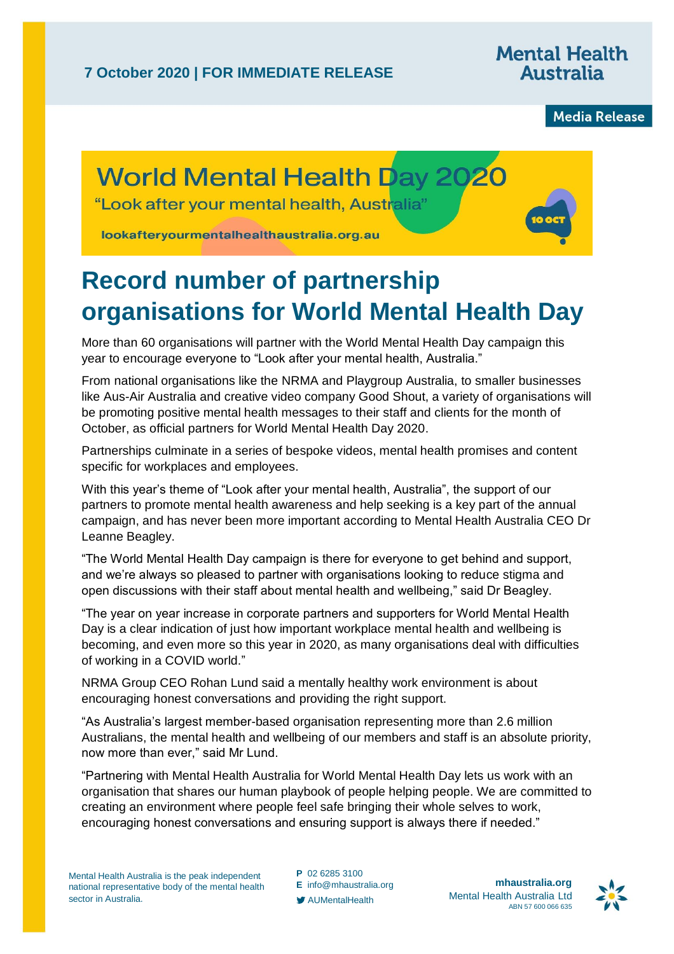**Mental Health Australia** 

**Media Release** 

## **World Mental Health Day 2020**

"Look after your mental health. Australia"

lookafteryourmentalhealthaustralia.org.au

## **Record number of partnership organisations for World Mental Health Day**

More than 60 organisations will partner with the World Mental Health Day campaign this year to encourage everyone to "Look after your mental health, Australia."

From national organisations like the NRMA and Playgroup Australia, to smaller businesses like Aus-Air Australia and creative video company Good Shout, a variety of organisations will be promoting positive mental health messages to their staff and clients for the month of October, as official partners for World Mental Health Day 2020.

Partnerships culminate in a series of bespoke videos, mental health promises and content specific for workplaces and employees.

With this year's theme of "Look after your mental health, Australia", the support of our partners to promote mental health awareness and help seeking is a key part of the annual campaign, and has never been more important according to Mental Health Australia CEO Dr Leanne Beagley.

"The World Mental Health Day campaign is there for everyone to get behind and support, and we're always so pleased to partner with organisations looking to reduce stigma and open discussions with their staff about mental health and wellbeing," said Dr Beagley.

"The year on year increase in corporate partners and supporters for World Mental Health Day is a clear indication of just how important workplace mental health and wellbeing is becoming, and even more so this year in 2020, as many organisations deal with difficulties of working in a COVID world."

NRMA Group CEO Rohan Lund said a mentally healthy work environment is about encouraging honest conversations and providing the right support.

"As Australia's largest member-based organisation representing more than 2.6 million Australians, the mental health and wellbeing of our members and staff is an absolute priority, now more than ever," said Mr Lund.

"Partnering with Mental Health Australia for World Mental Health Day lets us work with an organisation that shares our human playbook of people helping people. We are committed to creating an environment where people feel safe bringing their whole selves to work, encouraging honest conversations and ensuring support is always there if needed."

**P** 02 6285 3100

**E** [info@mhaustralia.org](mailto:info@mhaustralia.org)

AUMentalHealth